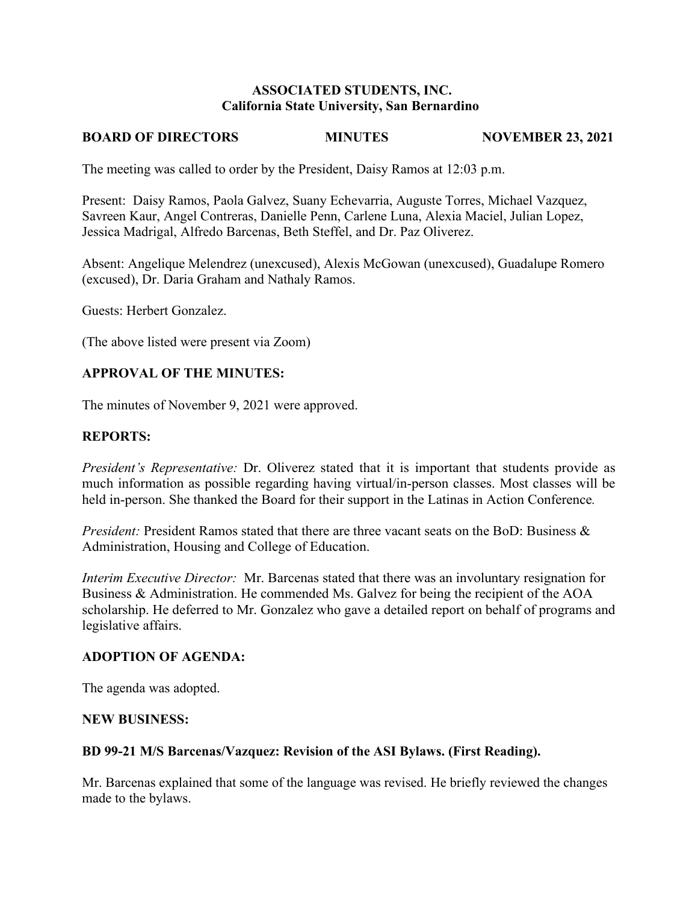#### **ASSOCIATED STUDENTS, INC. California State University, San Bernardino**

#### **NOVEMBER 23, 2021 BOARD OF DIRECTORS MINUTES**

The meeting was called to order by the President, Daisy Ramos at 12:03 p.m.

Present: Daisy Ramos, Paola Galvez, Suany Echevarria, Auguste Torres, Michael Vazquez, Savreen Kaur, Angel Contreras, Danielle Penn, Carlene Luna, Alexia Maciel, Julian Lopez, Jessica Madrigal, Alfredo Barcenas, Beth Steffel, and Dr. Paz Oliverez.

Absent: Angelique Melendrez (unexcused), Alexis McGowan (unexcused), Guadalupe Romero (excused), Dr. Daria Graham and Nathaly Ramos.

Guests: Herbert Gonzalez.

(The above listed were present via Zoom)

## **APPROVAL OF THE MINUTES:**

The minutes of November 9, 2021 were approved.

#### **REPORTS:**

*President's Representative:* Dr. Oliverez stated that it is important that students provide as much information as possible regarding having virtual/in-person classes. Most classes will be held in-person. She thanked the Board for their support in the Latinas in Action Conference*.* 

*President:* President Ramos stated that there are three vacant seats on the BoD: Business & Administration, Housing and College of Education.

*Interim Executive Director:* Mr. Barcenas stated that there was an involuntary resignation for Business & Administration. He commended Ms. Galvez for being the recipient of the AOA scholarship. He deferred to Mr. Gonzalez who gave a detailed report on behalf of programs and legislative affairs.

#### **ADOPTION OF AGENDA:**

The agenda was adopted.

#### **NEW BUSINESS:**

#### **BD 99-21 M/S Barcenas/Vazquez: Revision of the ASI Bylaws. (First Reading).**

Mr. Barcenas explained that some of the language was revised. He briefly reviewed the changes made to the bylaws.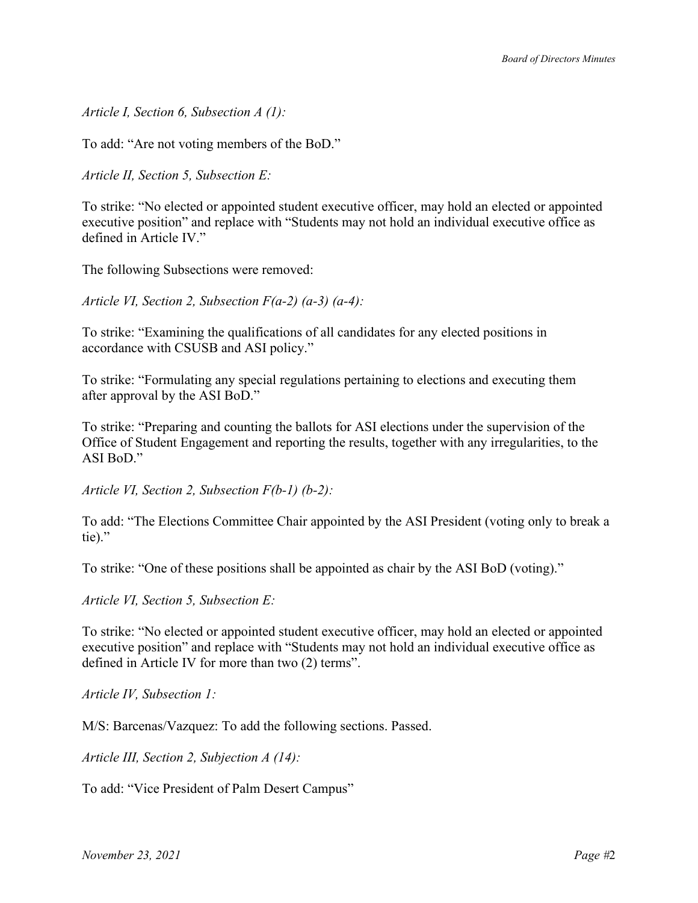*Article I, Section 6, Subsection A (1):*

To add: "Are not voting members of the BoD."

*Article II, Section 5, Subsection E:* 

To strike: "No elected or appointed student executive officer, may hold an elected or appointed executive position" and replace with "Students may not hold an individual executive office as defined in Article IV."

The following Subsections were removed:

*Article VI, Section 2, Subsection F(a-2) (a-3) (a-4):*

To strike: "Examining the qualifications of all candidates for any elected positions in accordance with CSUSB and ASI policy."

To strike: "Formulating any special regulations pertaining to elections and executing them after approval by the ASI BoD."

To strike: "Preparing and counting the ballots for ASI elections under the supervision of the Office of Student Engagement and reporting the results, together with any irregularities, to the ASI BoD."

*Article VI, Section 2, Subsection F(b-1) (b-2):* 

To add: "The Elections Committee Chair appointed by the ASI President (voting only to break a tie)."

To strike: "One of these positions shall be appointed as chair by the ASI BoD (voting)."

*Article VI, Section 5, Subsection E:* 

To strike: "No elected or appointed student executive officer, may hold an elected or appointed executive position" and replace with "Students may not hold an individual executive office as defined in Article IV for more than two (2) terms".

*Article IV, Subsection 1:* 

M/S: Barcenas/Vazquez: To add the following sections. Passed.

*Article III, Section 2, Subjection A (14):*

To add: "Vice President of Palm Desert Campus"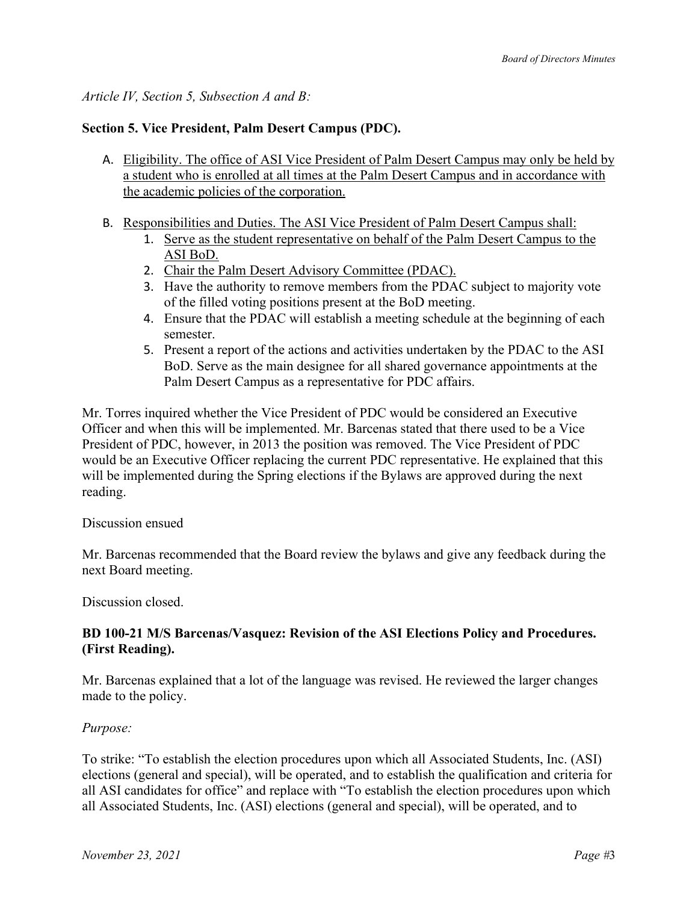*Article IV, Section 5, Subsection A and B:*

# **Section 5. Vice President, Palm Desert Campus (PDC).**

- A. Eligibility. The office of ASI Vice President of Palm Desert Campus may only be held by a student who is enrolled at all times at the Palm Desert Campus and in accordance with the academic policies of the corporation.
- B. Responsibilities and Duties. The ASI Vice President of Palm Desert Campus shall:
	- 1. Serve as the student representative on behalf of the Palm Desert Campus to the ASI BoD.
	- 2. Chair the Palm Desert Advisory Committee (PDAC).
	- 3. Have the authority to remove members from the PDAC subject to majority vote of the filled voting positions present at the BoD meeting.
	- 4. Ensure that the PDAC will establish a meeting schedule at the beginning of each semester.
	- 5. Present a report of the actions and activities undertaken by the PDAC to the ASI BoD. Serve as the main designee for all shared governance appointments at the Palm Desert Campus as a representative for PDC affairs.

Mr. Torres inquired whether the Vice President of PDC would be considered an Executive Officer and when this will be implemented. Mr. Barcenas stated that there used to be a Vice President of PDC, however, in 2013 the position was removed. The Vice President of PDC would be an Executive Officer replacing the current PDC representative. He explained that this will be implemented during the Spring elections if the Bylaws are approved during the next reading.

#### Discussion ensued

Mr. Barcenas recommended that the Board review the bylaws and give any feedback during the next Board meeting.

Discussion closed.

# **BD 100-21 M/S Barcenas/Vasquez: Revision of the ASI Elections Policy and Procedures. (First Reading).**

Mr. Barcenas explained that a lot of the language was revised. He reviewed the larger changes made to the policy.

#### *Purpose:*

To strike: "To establish the election procedures upon which all Associated Students, Inc. (ASI) elections (general and special), will be operated, and to establish the qualification and criteria for all ASI candidates for office" and replace with "To establish the election procedures upon which all Associated Students, Inc. (ASI) elections (general and special), will be operated, and to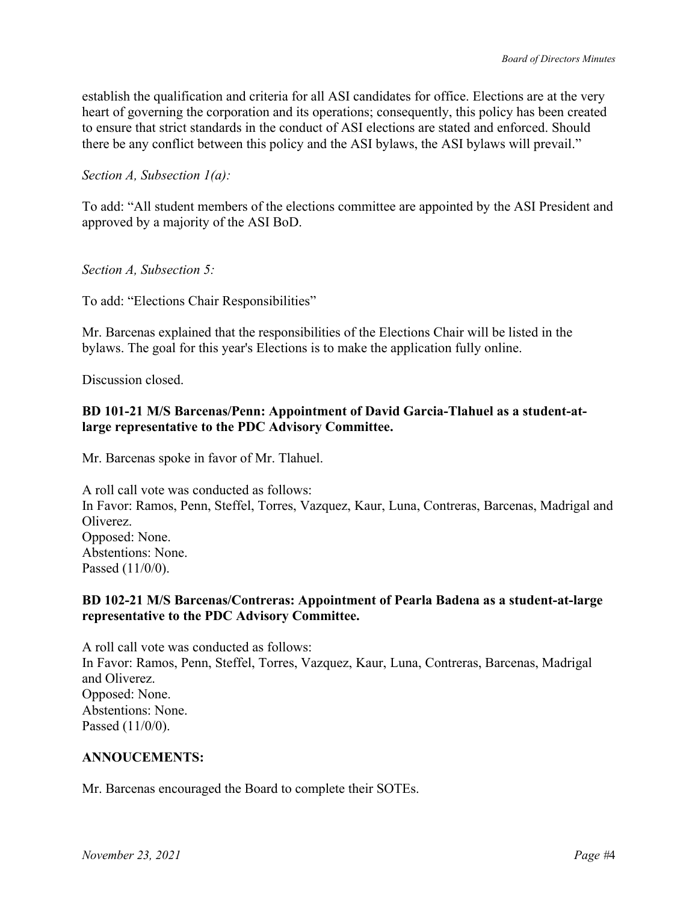establish the qualification and criteria for all ASI candidates for office. Elections are at the very heart of governing the corporation and its operations; consequently, this policy has been created to ensure that strict standards in the conduct of ASI elections are stated and enforced. Should there be any conflict between this policy and the ASI bylaws, the ASI bylaws will prevail."

*Section A, Subsection 1(a):* 

To add: "All student members of the elections committee are appointed by the ASI President and approved by a majority of the ASI BoD.

*Section A, Subsection 5:* 

To add: "Elections Chair Responsibilities"

Mr. Barcenas explained that the responsibilities of the Elections Chair will be listed in the bylaws. The goal for this year's Elections is to make the application fully online.

Discussion closed.

## **BD 101-21 M/S Barcenas/Penn: Appointment of David Garcia-Tlahuel as a student-atlarge representative to the PDC Advisory Committee.**

Mr. Barcenas spoke in favor of Mr. Tlahuel.

A roll call vote was conducted as follows: In Favor: Ramos, Penn, Steffel, Torres, Vazquez, Kaur, Luna, Contreras, Barcenas, Madrigal and Oliverez. Opposed: None. Abstentions: None. Passed (11/0/0).

#### **BD 102-21 M/S Barcenas/Contreras: Appointment of Pearla Badena as a student-at-large representative to the PDC Advisory Committee.**

A roll call vote was conducted as follows: In Favor: Ramos, Penn, Steffel, Torres, Vazquez, Kaur, Luna, Contreras, Barcenas, Madrigal and Oliverez. Opposed: None. Abstentions: None. Passed (11/0/0).

# **ANNOUCEMENTS:**

Mr. Barcenas encouraged the Board to complete their SOTEs.